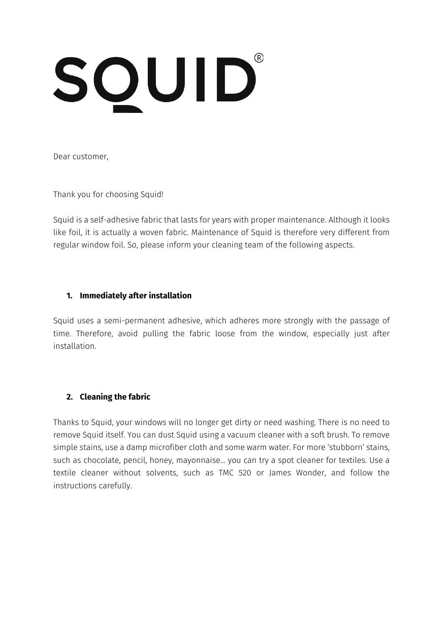# SQUID®

Dear customer,

Thank you for choosing Squid!

Squid is a self-adhesive fabric that lasts for years with proper maintenance. Although it looks like foil, it is actually a woven fabric. Maintenance of Squid is therefore very different from regular window foil. So, please inform your cleaning team of the following aspects.

## **1. Immediately after installation**

Squid uses a semi-permanent adhesive, which adheres more strongly with the passage of time. Therefore, avoid pulling the fabric loose from the window, especially just after installation.

# **2. Cleaning the fabric**

Thanks to Squid, your windows will no longer get dirty or need washing. There is no need to remove Squid itself. You can dust Squid using a vacuum cleaner with a soft brush. To remove simple stains, use a damp microfiber cloth and some warm water. For more 'stubborn' stains, such as chocolate, pencil, honey, mayonnaise… you can try a spot cleaner for textiles. Use a textile cleaner without solvents, such as TMC 520 or James Wonder, and follow the instructions carefully.